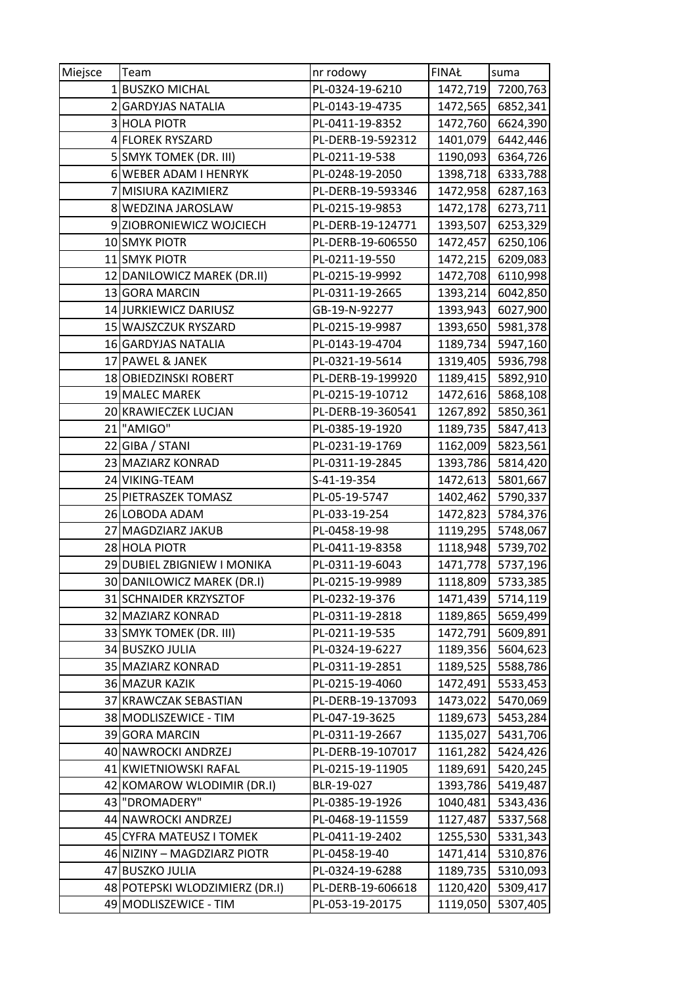| Miejsce | Team                           | nr rodowy         | <b>FINAŁ</b> | suma     |
|---------|--------------------------------|-------------------|--------------|----------|
|         | 1 BUSZKO MICHAL                | PL-0324-19-6210   | 1472,719     | 7200,763 |
|         | 2 GARDYJAS NATALIA             | PL-0143-19-4735   | 1472,565     | 6852,341 |
|         | 3 HOLA PIOTR                   | PL-0411-19-8352   | 1472,760     | 6624,390 |
|         | 4 FLOREK RYSZARD               | PL-DERB-19-592312 | 1401,079     | 6442,446 |
|         | 5 SMYK TOMEK (DR. III)         | PL-0211-19-538    | 1190,093     | 6364,726 |
|         | 6 WEBER ADAM I HENRYK          | PL-0248-19-2050   | 1398,718     | 6333,788 |
|         | 7 MISIURA KAZIMIERZ            | PL-DERB-19-593346 | 1472,958     | 6287,163 |
|         | 8 WEDZINA JAROSLAW             | PL-0215-19-9853   | 1472,178     | 6273,711 |
|         | 9 ZIOBRONIEWICZ WOJCIECH       | PL-DERB-19-124771 | 1393,507     | 6253,329 |
|         | 10 SMYK PIOTR                  | PL-DERB-19-606550 | 1472,457     | 6250,106 |
|         | 11 SMYK PIOTR                  | PL-0211-19-550    | 1472,215     | 6209,083 |
|         | 12 DANILOWICZ MAREK (DR.II)    | PL-0215-19-9992   | 1472,708     | 6110,998 |
|         | 13 GORA MARCIN                 | PL-0311-19-2665   | 1393,214     | 6042,850 |
|         | 14 JURKIEWICZ DARIUSZ          | GB-19-N-92277     | 1393,943     | 6027,900 |
|         | 15 WAJSZCZUK RYSZARD           | PL-0215-19-9987   | 1393,650     | 5981,378 |
|         | 16 GARDYJAS NATALIA            | PL-0143-19-4704   | 1189,734     | 5947,160 |
|         | 17 PAWEL & JANEK               | PL-0321-19-5614   | 1319,405     | 5936,798 |
|         | 18 OBIEDZINSKI ROBERT          | PL-DERB-19-199920 | 1189,415     | 5892,910 |
|         | 19 MALEC MAREK                 | PL-0215-19-10712  | 1472,616     | 5868,108 |
|         | 20 KRAWIECZEK LUCJAN           | PL-DERB-19-360541 | 1267,892     | 5850,361 |
|         | 21 "AMIGO"                     | PL-0385-19-1920   | 1189,735     | 5847,413 |
|         | 22 GIBA / STANI                | PL-0231-19-1769   | 1162,009     | 5823,561 |
|         | 23 MAZIARZ KONRAD              | PL-0311-19-2845   | 1393,786     | 5814,420 |
|         | 24 VIKING-TEAM                 | S-41-19-354       | 1472,613     | 5801,667 |
|         | 25 PIETRASZEK TOMASZ           | PL-05-19-5747     | 1402,462     | 5790,337 |
|         | 26 LOBODA ADAM                 | PL-033-19-254     | 1472,823     | 5784,376 |
|         | 27 MAGDZIARZ JAKUB             | PL-0458-19-98     | 1119,295     | 5748,067 |
|         | 28 HOLA PIOTR                  | PL-0411-19-8358   | 1118,948     | 5739,702 |
|         | 29 DUBIEL ZBIGNIEW I MONIKA    | PL-0311-19-6043   | 1471,778     | 5737,196 |
|         | 30 DANILOWICZ MAREK (DR.I)     | PL-0215-19-9989   | 1118,809     | 5733,385 |
|         | 31 SCHNAIDER KRZYSZTOF         | PL-0232-19-376    | 1471,439     | 5714,119 |
|         | 32 MAZIARZ KONRAD              | PL-0311-19-2818   | 1189,865     | 5659,499 |
|         | 33 SMYK TOMEK (DR. III)        | PL-0211-19-535    | 1472,791     | 5609,891 |
|         | 34 BUSZKO JULIA                | PL-0324-19-6227   | 1189,356     | 5604,623 |
|         | 35 MAZIARZ KONRAD              | PL-0311-19-2851   | 1189,525     | 5588,786 |
|         | 36 MAZUR KAZIK                 | PL-0215-19-4060   | 1472,491     | 5533,453 |
|         | 37 KRAWCZAK SEBASTIAN          | PL-DERB-19-137093 | 1473,022     | 5470,069 |
|         | 38 MODLISZEWICE - TIM          | PL-047-19-3625    | 1189,673     | 5453,284 |
|         | 39 GORA MARCIN                 | PL-0311-19-2667   | 1135,027     | 5431,706 |
|         | 40 NAWROCKI ANDRZEJ            | PL-DERB-19-107017 | 1161,282     | 5424,426 |
|         | 41 KWIETNIOWSKI RAFAL          | PL-0215-19-11905  | 1189,691     | 5420,245 |
|         | 42 KOMAROW WLODIMIR (DR.I)     | BLR-19-027        | 1393,786     | 5419,487 |
|         | 43 "DROMADERY"                 | PL-0385-19-1926   | 1040,481     | 5343,436 |
|         | 44 NAWROCKI ANDRZEJ            | PL-0468-19-11559  | 1127,487     | 5337,568 |
|         | 45 CYFRA MATEUSZ I TOMEK       | PL-0411-19-2402   | 1255,530     | 5331,343 |
|         | 46 NIZINY - MAGDZIARZ PIOTR    | PL-0458-19-40     | 1471,414     | 5310,876 |
|         | 47 BUSZKO JULIA                | PL-0324-19-6288   | 1189,735     | 5310,093 |
|         | 48 POTEPSKI WLODZIMIERZ (DR.I) | PL-DERB-19-606618 | 1120,420     | 5309,417 |
|         | 49 MODLISZEWICE - TIM          | PL-053-19-20175   | 1119,050     | 5307,405 |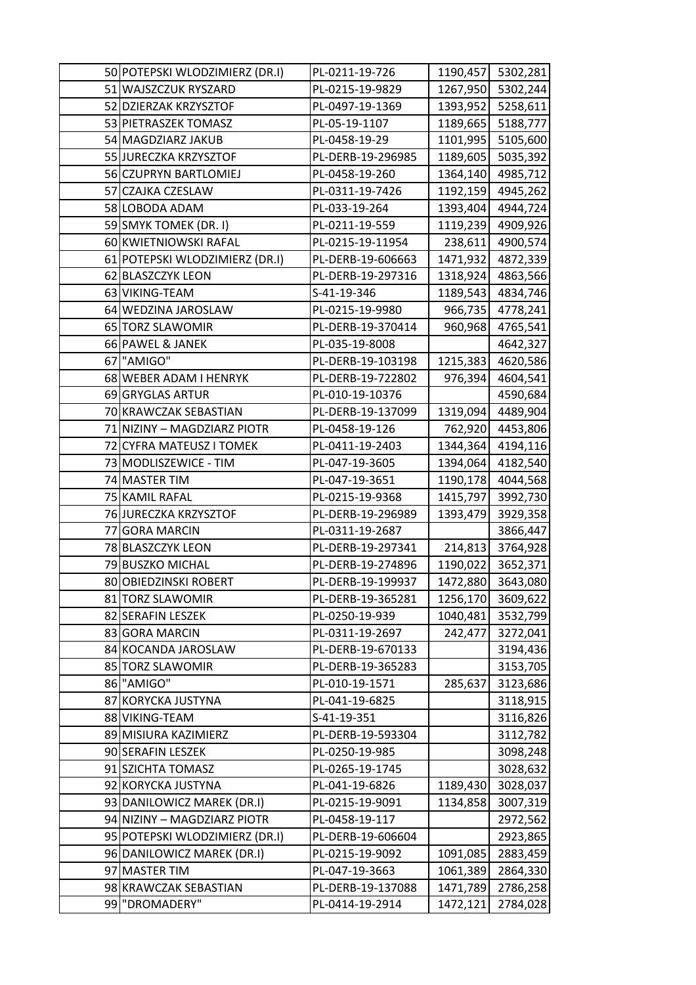| 50 POTEPSKI WLODZIMIERZ (DR.I) | PL-0211-19-726    |          | 1190,457 5302,281 |
|--------------------------------|-------------------|----------|-------------------|
| 51 WAJSZCZUK RYSZARD           | PL-0215-19-9829   | 1267,950 | 5302,244          |
| 52 DZIERZAK KRZYSZTOF          | PL-0497-19-1369   | 1393,952 | 5258,611          |
| 53 PIETRASZEK TOMASZ           | PL-05-19-1107     | 1189,665 | 5188,777          |
| 54 MAGDZIARZ JAKUB             | PL-0458-19-29     | 1101,995 | 5105,600          |
| 55 JURECZKA KRZYSZTOF          | PL-DERB-19-296985 | 1189,605 | 5035,392          |
| 56 CZUPRYN BARTLOMIEJ          | PL-0458-19-260    | 1364,140 | 4985,712          |
| 57 CZAJKA CZESLAW              | PL-0311-19-7426   | 1192,159 | 4945,262          |
| 58 LOBODA ADAM                 | PL-033-19-264     | 1393,404 | 4944,724          |
| 59 SMYK TOMEK (DR. I)          | PL-0211-19-559    | 1119,239 | 4909,926          |
| 60 KWIETNIOWSKI RAFAL          | PL-0215-19-11954  | 238,611  | 4900,574          |
| 61 POTEPSKI WLODZIMIERZ (DR.I) | PL-DERB-19-606663 | 1471,932 | 4872,339          |
| 62 BLASZCZYK LEON              | PL-DERB-19-297316 | 1318,924 | 4863,566          |
| 63 VIKING-TEAM                 | S-41-19-346       | 1189,543 | 4834,746          |
| 64 WEDZINA JAROSLAW            | PL-0215-19-9980   | 966,735  | 4778,241          |
| 65 TORZ SLAWOMIR               | PL-DERB-19-370414 | 960,968  | 4765,541          |
| 66 PAWEL & JANEK               | PL-035-19-8008    |          | 4642,327          |
| 67 "AMIGO"                     | PL-DERB-19-103198 | 1215,383 | 4620,586          |
| 68 WEBER ADAM I HENRYK         | PL-DERB-19-722802 | 976,394  | 4604,541          |
| 69 GRYGLAS ARTUR               | PL-010-19-10376   |          | 4590,684          |
| 70 KRAWCZAK SEBASTIAN          | PL-DERB-19-137099 | 1319,094 | 4489,904          |
| 71 NIZINY - MAGDZIARZ PIOTR    | PL-0458-19-126    | 762,920  | 4453,806          |
| 72 CYFRA MATEUSZ I TOMEK       | PL-0411-19-2403   | 1344,364 | 4194,116          |
| 73 MODLISZEWICE - TIM          | PL-047-19-3605    | 1394,064 | 4182,540          |
| 74 MASTER TIM                  | PL-047-19-3651    | 1190,178 | 4044,568          |
| 75 KAMIL RAFAL                 | PL-0215-19-9368   | 1415,797 | 3992,730          |
| 76 JURECZKA KRZYSZTOF          | PL-DERB-19-296989 | 1393,479 | 3929,358          |
| 77 GORA MARCIN                 | PL-0311-19-2687   |          | 3866,447          |
| 78 BLASZCZYK LEON              | PL-DERB-19-297341 | 214,813  | 3764,928          |
| 79 BUSZKO MICHAL               | PL-DERB-19-274896 | 1190,022 | 3652,371          |
| 80 OBIEDZINSKI ROBERT          | PL-DERB-19-199937 | 1472,880 | 3643,080          |
| 81 TORZ SLAWOMIR               | PL-DERB-19-365281 | 1256,170 | 3609,622          |
| 82 SERAFIN LESZEK              | PL-0250-19-939    | 1040,481 | 3532,799          |
| 83 GORA MARCIN                 | PL-0311-19-2697   | 242,477  | 3272,041          |
| 84 KOCANDA JAROSLAW            | PL-DERB-19-670133 |          | 3194,436          |
| 85 TORZ SLAWOMIR               | PL-DERB-19-365283 |          | 3153,705          |
| 86 "AMIGO"                     | PL-010-19-1571    | 285,637  | 3123,686          |
| 87 KORYCKA JUSTYNA             | PL-041-19-6825    |          | 3118,915          |
| 88 VIKING-TEAM                 | S-41-19-351       |          | 3116,826          |
| 89 MISIURA KAZIMIERZ           | PL-DERB-19-593304 |          | 3112,782          |
| 90 SERAFIN LESZEK              | PL-0250-19-985    |          | 3098,248          |
| 91 SZICHTA TOMASZ              | PL-0265-19-1745   |          | 3028,632          |
| 92 KORYCKA JUSTYNA             | PL-041-19-6826    | 1189,430 | 3028,037          |
| 93 DANILOWICZ MAREK (DR.I)     | PL-0215-19-9091   | 1134,858 | 3007,319          |
| 94 NIZINY - MAGDZIARZ PIOTR    | PL-0458-19-117    |          | 2972,562          |
| 95 POTEPSKI WLODZIMIERZ (DR.I) | PL-DERB-19-606604 |          | 2923,865          |
| 96 DANILOWICZ MAREK (DR.I)     | PL-0215-19-9092   | 1091,085 | 2883,459          |
| 97 MASTER TIM                  | PL-047-19-3663    | 1061,389 | 2864,330          |
| 98 KRAWCZAK SEBASTIAN          | PL-DERB-19-137088 | 1471,789 | 2786,258          |
| 99 "DROMADERY"                 | PL-0414-19-2914   | 1472,121 | 2784,028          |